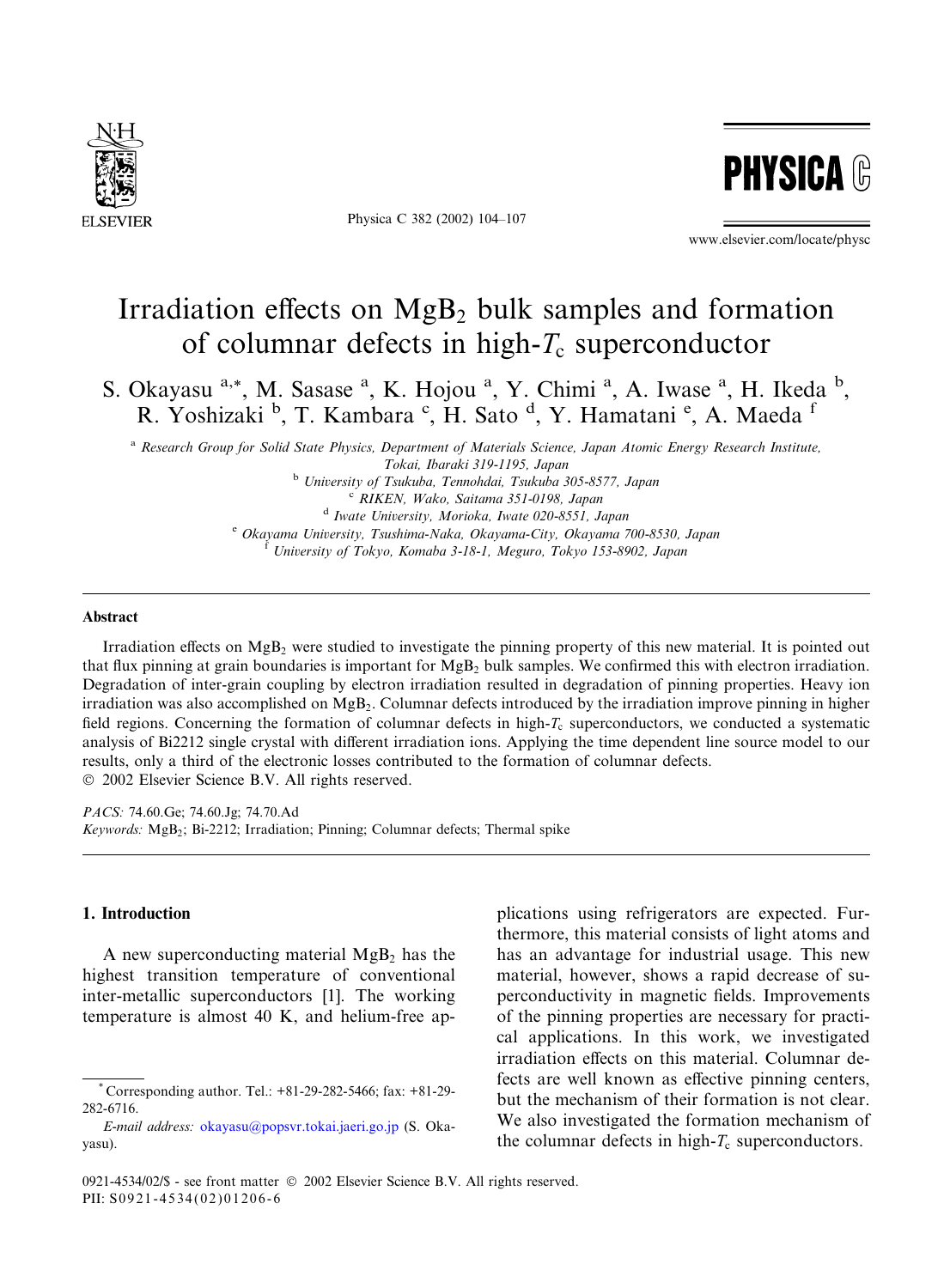

Physica C 382 (2002) 104–107



www.elsevier.com/locate/physc

# Irradiation effects on  $MgB_2$  bulk samples and formation of columnar defects in high- $T_c$  superconductor

S. Okayasu <sup>a,\*</sup>, M. Sasase <sup>a</sup>, K. Hojou <sup>a</sup>, Y. Chimi <sup>a</sup>, A. Iwase <sup>a</sup>, H. Ikeda <sup>b</sup>, R. Yoshizaki <sup>b</sup>, T. Kambara <sup>c</sup>, H. Sato <sup>d</sup>, Y. Hamatani <sup>e</sup>, A. Maeda <sup>f</sup>

<sup>a</sup> Research Group for Solid State Physics, Department of Materials Science, Japan Atomic Energy Research Institute,

Tokai, Ibaraki 319-1195, Japan

<sup>b</sup> University of Tsukuba, Tennohdai, Tsukuba 305-8577, Japan <sup>c</sup> RIKEN, Wako, Saitama 351-0198, Japan

<sup>d</sup> Iwate University, Morioka, Iwate 020-8551, Japan

<sup>e</sup> Okayama University, Tsushima-Naka, Okayama-City, Okayama 700-8530, Japan

<sup>f</sup> University of Tokyo, Komaba 3-18-1, Meguro, Tokyo 153-8902, Japan

### Abstract

Irradiation effects on  $MgB_2$  were studied to investigate the pinning property of this new material. It is pointed out that flux pinning at grain boundaries is important for  $MgB<sub>2</sub>$  bulk samples. We confirmed this with electron irradiation. Degradation of inter-grain coupling by electron irradiation resulted in degradation of pinning properties. Heavy ion irradiation was also accomplished on MgB2. Columnar defects introduced by the irradiation improve pinning in higher field regions. Concerning the formation of columnar defects in high- $T_c$  superconductors, we conducted a systematic analysis of Bi2212 single crystal with different irradiation ions. Applying the time dependent line source model to our results, only a third of the electronic losses contributed to the formation of columnar defects. 2002 Elsevier Science B.V. All rights reserved.

PACS: 74.60.Ge; 74.60.Jg; 74.70.Ad Keywords: MgB2; Bi-2212; Irradiation; Pinning; Columnar defects; Thermal spike

# 1. Introduction

A new superconducting material  $MgB<sub>2</sub>$  has the highest transition temperature of conventional inter-metallic superconductors [1]. The working temperature is almost 40 K, and helium-free applications using refrigerators are expected. Furthermore, this material consists of light atoms and has an advantage for industrial usage. This new material, however, shows a rapid decrease of superconductivity in magnetic fields. Improvements of the pinning properties are necessary for practical applications. In this work, we investigated irradiation effects on this material. Columnar defects are well known as effective pinning centers, but the mechanism of their formation is not clear. We also investigated the formation mechanism of the columnar defects in high- $T_c$  superconductors.

<sup>\*</sup> Corresponding author. Tel.: +81-29-282-5466; fax: +81-29- 282-6716.

E-mail address: [okayasu@popsvr.tokai.jaeri.go.jp](mail to: okayasu@popsvr.tokai.jaeri.go.jp) (S. Okayasu).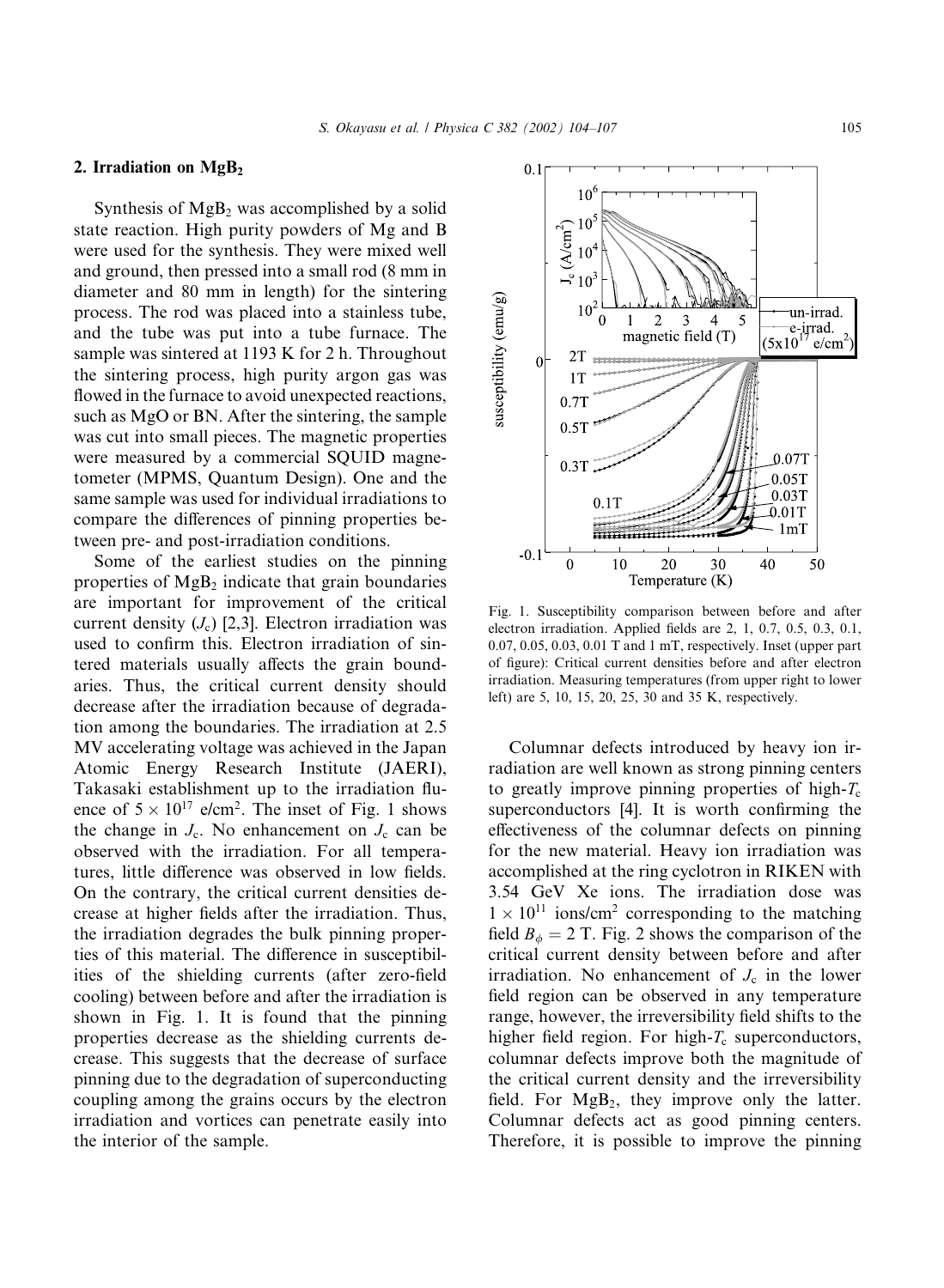# 2. Irradiation on  $MgB<sub>2</sub>$

Synthesis of  $MgB<sub>2</sub>$  was accomplished by a solid state reaction. High purity powders of Mg and B were used for the synthesis. They were mixed well and ground, then pressed into a small rod (8 mm in diameter and 80 mm in length) for the sintering process. The rod was placed into a stainless tube, and the tube was put into a tube furnace. The sample was sintered at 1193 K for  $2 h$ . Throughout the sintering process, high purity argon gas was flowed in the furnace to avoid unexpected reactions, such as MgO or BN. After the sintering, the sample was cut into small pieces. The magnetic properties were measured by a commercial SQUID magnetometer (MPMS, Quantum Design). One and the same sample was used for individual irradiations to compare the differences of pinning properties between pre- and post-irradiation conditions.

Some of the earliest studies on the pinning properties of  $MgB<sub>2</sub>$  indicate that grain boundaries are important for improvement of the critical current density  $(J_c)$  [2,3]. Electron irradiation was used to confirm this. Electron irradiation of sintered materials usually affects the grain boundaries. Thus, the critical current density should decrease after the irradiation because of degradation among the boundaries. The irradiation at 2.5 MV accelerating voltage was achieved in the Japan Atomic Energy Research Institute (JAERI), Takasaki establishment up to the irradiation fluence of  $5 \times 10^{17}$  e/cm<sup>2</sup>. The inset of Fig. 1 shows the change in  $J_c$ . No enhancement on  $J_c$  can be observed with the irradiation. For all temperatures, little difference was observed in low fields. On the contrary, the critical current densities decrease at higher fields after the irradiation. Thus, the irradiation degrades the bulk pinning properties of this material. The difference in susceptibilities of the shielding currents (after zero-field cooling) between before and after the irradiation is shown in Fig. 1. It is found that the pinning properties decrease as the shielding currents decrease. This suggests that the decrease of surface pinning due to the degradation of superconducting coupling among the grains occurs by the electron irradiation and vortices can penetrate easily into the interior of the sample.



Fig. 1. Susceptibility comparison between before and after electron irradiation. Applied fields are 2, 1, 0.7, 0.5, 0.3, 0.1, 0.07, 0.05, 0.03, 0.01 T and 1 mT, respectively. Inset (upper part of figure): Critical current densities before and after electron irradiation. Measuring temperatures (from upper right to lower left) are 5, 10, 15, 20, 25, 30 and 35 K, respectively.

Columnar defects introduced by heavy ion irradiation are well known as strong pinning centers to greatly improve pinning properties of high- $T_c$ superconductors [4]. It is worth confirming the effectiveness of the columnar defects on pinning for the new material. Heavy ion irradiation was accomplished at the ring cyclotron in RIKEN with 3.54 GeV Xe ions. The irradiation dose was  $1 \times 10^{11}$  ions/cm<sup>2</sup> corresponding to the matching field  $B_{\phi} = 2$  T. Fig. 2 shows the comparison of the critical current density between before and after irradiation. No enhancement of  $J_c$  in the lower field region can be observed in any temperature range, however, the irreversibility field shifts to the higher field region. For high- $T_c$  superconductors, columnar defects improve both the magnitude of the critical current density and the irreversibility field. For  $MgB<sub>2</sub>$ , they improve only the latter. Columnar defects act as good pinning centers. Therefore, it is possible to improve the pinning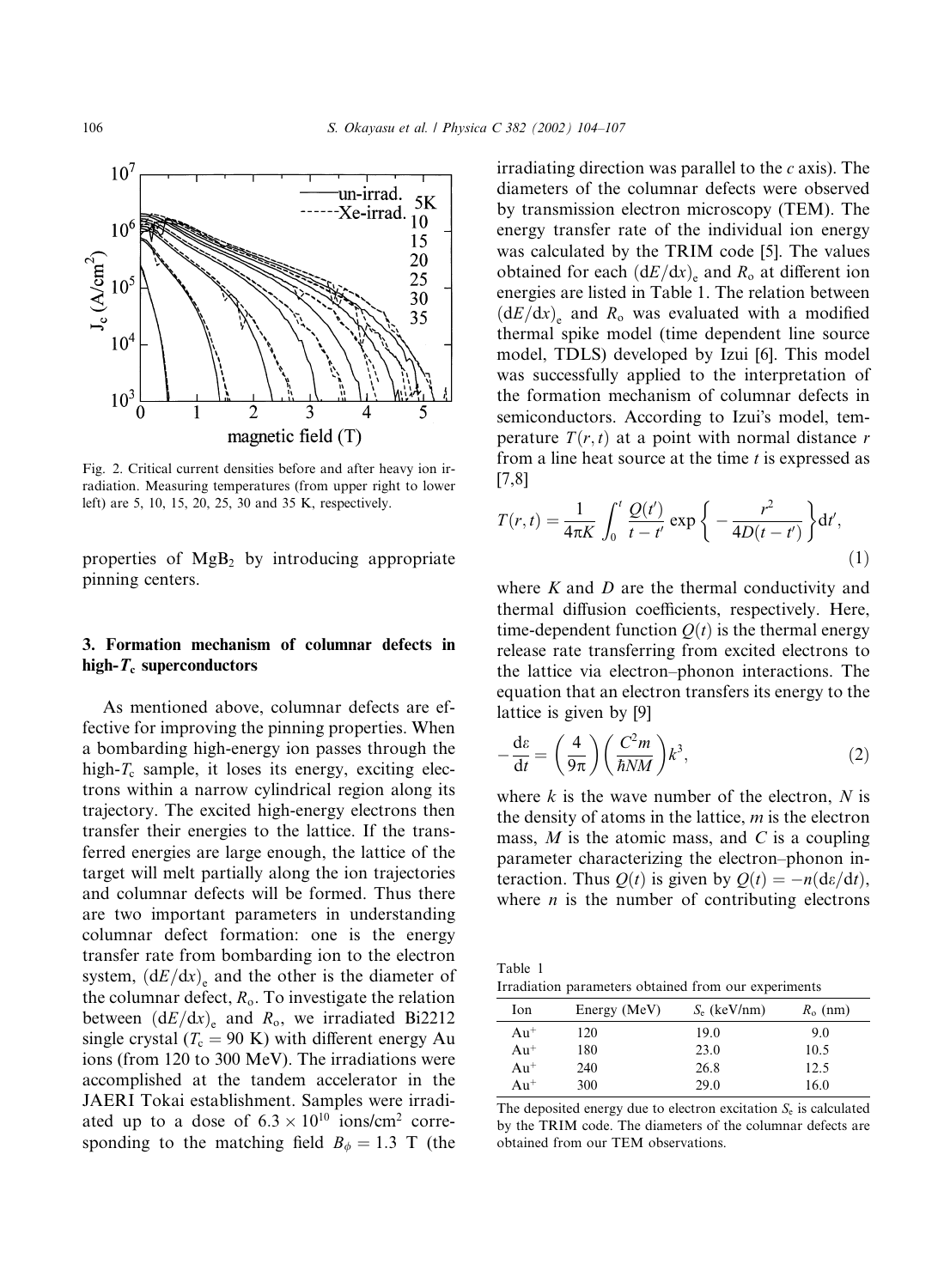

Fig. 2. Critical current densities before and after heavy ion irradiation. Measuring temperatures (from upper right to lower left) are 5, 10, 15, 20, 25, 30 and 35 K, respectively.

properties of  $MgB_2$  by introducing appropriate pinning centers.

# 3. Formation mechanism of columnar defects in high- $T_c$  superconductors

As mentioned above, columnar defects are effective for improving the pinning properties. When a bombarding high-energy ion passes through the high- $T_c$  sample, it loses its energy, exciting electrons within a narrow cylindrical region along its trajectory. The excited high-energy electrons then transfer their energies to the lattice. If the transferred energies are large enough, the lattice of the target will melt partially along the ion trajectories and columnar defects will be formed. Thus there are two important parameters in understanding columnar defect formation: one is the energy transfer rate from bombarding ion to the electron system,  $(dE/dx)$  and the other is the diameter of the columnar defect,  $R_0$ . To investigate the relation between  $(dE/dx)_{e}$  and  $R_o$ , we irradiated Bi2212 single crystal ( $T_c = 90 \text{ K}$ ) with different energy Au ions (from 120 to 300 MeV). The irradiations were accomplished at the tandem accelerator in the JAERI Tokai establishment. Samples were irradiated up to a dose of  $6.3 \times 10^{10}$  ions/cm<sup>2</sup> corresponding to the matching field  $B_{\phi} = 1.3$  T (the irradiating direction was parallel to the  $c$  axis). The diameters of the columnar defects were observed by transmission electron microscopy (TEM). The energy transfer rate of the individual ion energy was calculated by the TRIM code [5]. The values obtained for each  $(dE/dx)$ <sub>e</sub> and  $R_o$  at different ion energies are listed in Table 1. The relation between  $(dE/dx)$ <sub>e</sub> and R<sub>o</sub> was evaluated with a modified thermal spike model (time dependent line source model, TDLS) developed by Izui [6]. This model was successfully applied to the interpretation of the formation mechanism of columnar defects in semiconductors. According to Izui's model, temperature  $T(r, t)$  at a point with normal distance r from a line heat source at the time  $t$  is expressed as [7,8]

$$
T(r,t) = \frac{1}{4\pi K} \int_0^t \frac{Q(t')}{t - t'} \exp\left\{-\frac{r^2}{4D(t - t')}\right\} dt',
$$
\n(1)

where  $K$  and  $D$  are the thermal conductivity and thermal diffusion coefficients, respectively. Here, time-dependent function  $Q(t)$  is the thermal energy release rate transferring from excited electrons to the lattice via electron–phonon interactions. The equation that an electron transfers its energy to the lattice is given by [9]

$$
-\frac{d\varepsilon}{dt} = \left(\frac{4}{9\pi}\right) \left(\frac{C^2 m}{\hbar N M}\right) k^3,
$$
\n(2)

where  $k$  is the wave number of the electron,  $N$  is the density of atoms in the lattice,  $m$  is the electron mass,  $M$  is the atomic mass, and  $C$  is a coupling parameter characterizing the electron–phonon interaction. Thus  $Q(t)$  is given by  $Q(t) = -n(\frac{d\epsilon}{dt})$ , where  $n$  is the number of contributing electrons

Table 1 Irradiation parameters obtained from our experiments

| Ion    | Energy (MeV) | $S_e$ (keV/nm) | $R_0$ (nm) |
|--------|--------------|----------------|------------|
| $Au^+$ | 120          | 19.0           | 9.0        |
| $Au+$  | 180          | 23.0           | 10.5       |
| $Au+$  | 240          | 26.8           | 12.5       |
| $Au^+$ | 300          | 29.0           | 16.0       |

The deposited energy due to electron excitation  $S<sub>e</sub>$  is calculated by the TRIM code. The diameters of the columnar defects are obtained from our TEM observations.